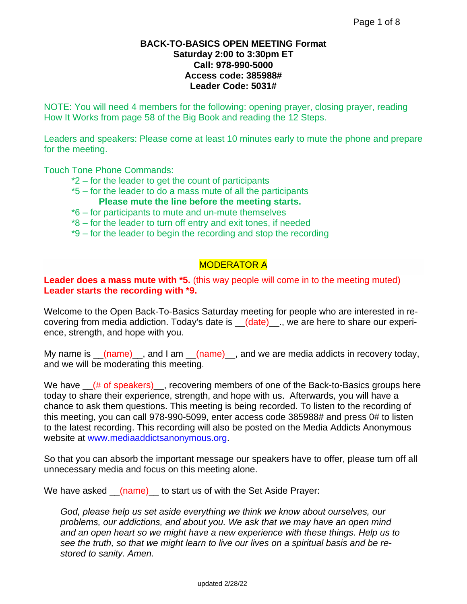#### **BACK-TO-BASICS OPEN MEETING Format Saturday 2:00 to 3:30pm ET Call: 978-990-5000 Access code: 385988# Leader Code: 5031#**

NOTE: You will need 4 members for the following: opening prayer, closing prayer, reading How It Works from page 58 of the Big Book and reading the 12 Steps.

Leaders and speakers: Please come at least 10 minutes early to mute the phone and prepare for the meeting.

Touch Tone Phone Commands:

- \*2 for the leader to get the count of participants
- \*5 for the leader to do a mass mute of all the participants **Please mute the line before the meeting starts.**
- \*6 for participants to mute and un-mute themselves
- \*8 for the leader to turn off entry and exit tones, if needed
- \*9 for the leader to begin the recording and stop the recording

# MODERATOR A

#### **Leader does a mass mute with \*5.** (this way people will come in to the meeting muted) **Leader starts the recording with \*9.**

Welcome to the Open Back-To-Basics Saturday meeting for people who are interested in recovering from media addiction. Today's date is \_\_(date)\_\_., we are here to share our experience, strength, and hope with you.

My name is  $(name)$ , and I am  $(name)$ , and we are media addicts in recovery today, and we will be moderating this meeting.

We have  $(4 \text{ of speakers})$ , recovering members of one of the Back-to-Basics groups here today to share their experience, strength, and hope with us. Afterwards, you will have a chance to ask them questions. This meeting is being recorded. To listen to the recording of this meeting, you can call 978-990-5099, enter access code 385988# and press 0# to listen to the latest recording. This recording will also be posted on the Media Addicts Anonymous website at [www.mediaaddictsanonymous.org.](http://www.mediaaddictsanonymous.org/)

So that you can absorb the important message our speakers have to offer, please turn off all unnecessary media and focus on this meeting alone.

We have asked <u>(name)</u> to start us of with the Set Aside Prayer:

*God, please help us set aside everything we think we know about ourselves, our problems, our addictions, and about you. We ask that we may have an open mind and an open heart so we might have a new experience with these things. Help us to see the truth, so that we might learn to live our lives on a spiritual basis and be restored to sanity. Amen.*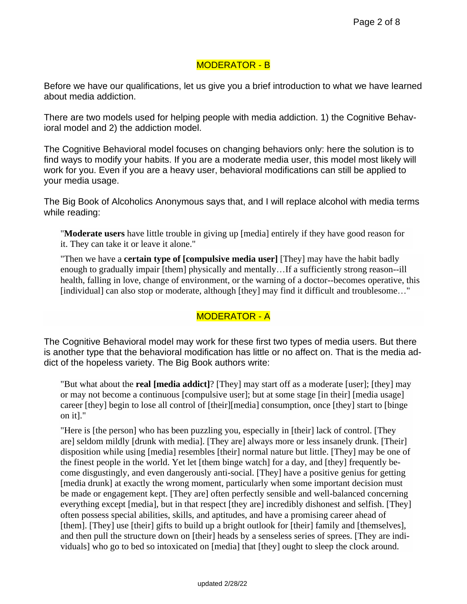# MODERATOR - B

Before we have our qualifications, let us give you a brief introduction to what we have learned about media addiction.

There are two models used for helping people with media addiction. 1) the Cognitive Behavioral model and 2) the addiction model.

The Cognitive Behavioral model focuses on changing behaviors only: here the solution is to find ways to modify your habits. If you are a moderate media user, this model most likely will work for you. Even if you are a heavy user, behavioral modifications can still be applied to your media usage.

The Big Book of Alcoholics Anonymous says that, and I will replace alcohol with media terms while reading:

"**Moderate users** have little trouble in giving up [media] entirely if they have good reason for it. They can take it or leave it alone."

"Then we have a **certain type of [compulsive media user]** [They] may have the habit badly enough to gradually impair [them] physically and mentally…If a sufficiently strong reason--ill health, falling in love, change of environment, or the warning of a doctor--becomes operative, this [individual] can also stop or moderate, although [they] may find it difficult and troublesome..."

# MODERATOR - A

The Cognitive Behavioral model may work for these first two types of media users. But there is another type that the behavioral modification has little or no affect on. That is the media addict of the hopeless variety. The Big Book authors write:

"But what about the **real [media addict]**? [They] may start off as a moderate [user]; [they] may or may not become a continuous [compulsive user]; but at some stage [in their] [media usage] career [they] begin to lose all control of [their][media] consumption, once [they] start to [binge on it]."

"Here is [the person] who has been puzzling you, especially in [their] lack of control. [They are] seldom mildly [drunk with media]. [They are] always more or less insanely drunk. [Their] disposition while using [media] resembles [their] normal nature but little. [They] may be one of the finest people in the world. Yet let [them binge watch] for a day, and [they] frequently become disgustingly, and even dangerously anti-social. [They] have a positive genius for getting [media drunk] at exactly the wrong moment, particularly when some important decision must be made or engagement kept. [They are] often perfectly sensible and well-balanced concerning everything except [media], but in that respect [they are] incredibly dishonest and selfish. [They] often possess special abilities, skills, and aptitudes, and have a promising career ahead of [them]. [They] use [their] gifts to build up a bright outlook for [their] family and [themselves], and then pull the structure down on [their] heads by a senseless series of sprees. [They are individuals] who go to bed so intoxicated on [media] that [they] ought to sleep the clock around.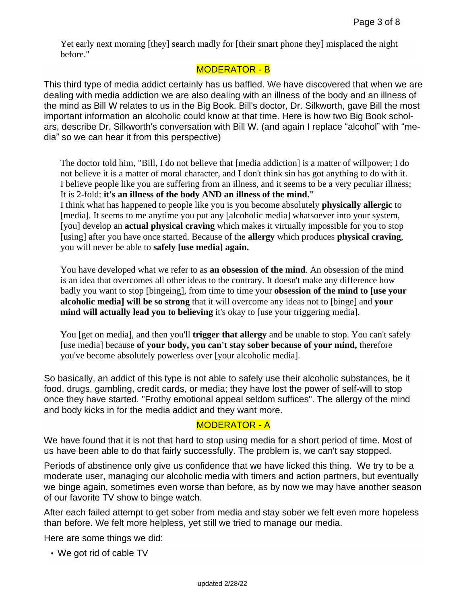Yet early next morning [they] search madly for [their smart phone they] misplaced the night before."

#### MODERATOR - B

This third type of media addict certainly has us baffled. We have discovered that when we are dealing with media addiction we are also dealing with an illness of the body and an illness of the mind as Bill W relates to us in the Big Book. Bill's doctor, Dr. Silkworth, gave Bill the most important information an alcoholic could know at that time. Here is how two Big Book scholars, describe Dr. Silkworth's conversation with Bill W. (and again I replace "alcohol" with "media" so we can hear it from this perspective)

The doctor told him, "Bill, I do not believe that [media addiction] is a matter of willpower; I do not believe it is a matter of moral character, and I don't think sin has got anything to do with it. I believe people like you are suffering from an illness, and it seems to be a very peculiar illness; It is 2-fold: **it's an illness of the body AND an illness of the mind."** I think what has happened to people like you is you become absolutely **physically allergic** to [media]. It seems to me anytime you put any [alcoholic media] whatsoever into your system, [you] develop an **actual physical craving** which makes it virtually impossible for you to stop [using] after you have once started. Because of the **allergy** which produces **physical craving**, you will never be able to **safely [use media] again.**

You have developed what we refer to as **an obsession of the mind**. An obsession of the mind is an idea that overcomes all other ideas to the contrary. It doesn't make any difference how badly you want to stop [bingeing], from time to time your **obsession of the mind to [use your alcoholic media] will be so strong** that it will overcome any ideas not to [binge] and **your mind will actually lead you to believing** it's okay to [use your triggering media].

You [get on media], and then you'll **trigger that allergy** and be unable to stop. You can't safely [use media] because **of your body, you can't stay sober because of your mind,** therefore you've become absolutely powerless over [your alcoholic media].

So basically, an addict of this type is not able to safely use their alcoholic substances, be it food, drugs, gambling, credit cards, or media; they have lost the power of self-will to stop once they have started. "Frothy emotional appeal seldom suffices". The allergy of the mind and body kicks in for the media addict and they want more.

### MODERATOR - A

We have found that it is not that hard to stop using media for a short period of time. Most of us have been able to do that fairly successfully. The problem is, we can't say stopped.

Periods of abstinence only give us confidence that we have licked this thing. We try to be a moderate user, managing our alcoholic media with timers and action partners, but eventually we binge again, sometimes even worse than before, as by now we may have another season of our favorite TV show to binge watch.

After each failed attempt to get sober from media and stay sober we felt even more hopeless than before. We felt more helpless, yet still we tried to manage our media.

Here are some things we did:

• We got rid of cable TV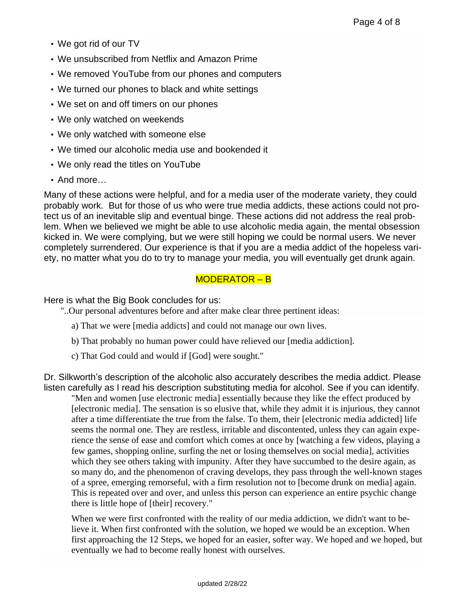- We got rid of our TV
- We unsubscribed from Netflix and Amazon Prime
- We removed YouTube from our phones and computers
- We turned our phones to black and white settings
- We set on and off timers on our phones
- We only watched on weekends
- We only watched with someone else
- We timed our alcoholic media use and bookended it
- We only read the titles on YouTube
- And more…

Many of these actions were helpful, and for a media user of the moderate variety, they could probably work. But for those of us who were true media addicts, these actions could not protect us of an inevitable slip and eventual binge. These actions did not address the real problem. When we believed we might be able to use alcoholic media again, the mental obsession kicked in. We were complying, but we were still hoping we could be normal users. We never completely surrendered. Our experience is that if you are a media addict of the hopeless variety, no matter what you do to try to manage your media, you will eventually get drunk again.

# MODERATOR – B

Here is what the Big Book concludes for us:

"..Our personal adventures before and after make clear three pertinent ideas:

- a) That we were [media addicts] and could not manage our own lives.
- b) That probably no human power could have relieved our [media addiction].
- c) That God could and would if [God] were sought."

Dr. Silkworth's description of the alcoholic also accurately describes the media addict. Please listen carefully as I read his description substituting media for alcohol. See if you can identify.

"Men and women [use electronic media] essentially because they like the effect produced by [electronic media]. The sensation is so elusive that, while they admit it is injurious, they cannot after a time differentiate the true from the false. To them, their [electronic media addicted] life seems the normal one. They are restless, irritable and discontented, unless they can again experience the sense of ease and comfort which comes at once by [watching a few videos, playing a few games, shopping online, surfing the net or losing themselves on social media], activities which they see others taking with impunity. After they have succumbed to the desire again, as so many do, and the phenomenon of craving develops, they pass through the well-known stages of a spree, emerging remorseful, with a firm resolution not to [become drunk on media] again. This is repeated over and over, and unless this person can experience an entire psychic change there is little hope of [their] recovery."

When we were first confronted with the reality of our media addiction, we didn't want to believe it. When first confronted with the solution, we hoped we would be an exception. When first approaching the 12 Steps, we hoped for an easier, softer way. We hoped and we hoped, but eventually we had to become really honest with ourselves.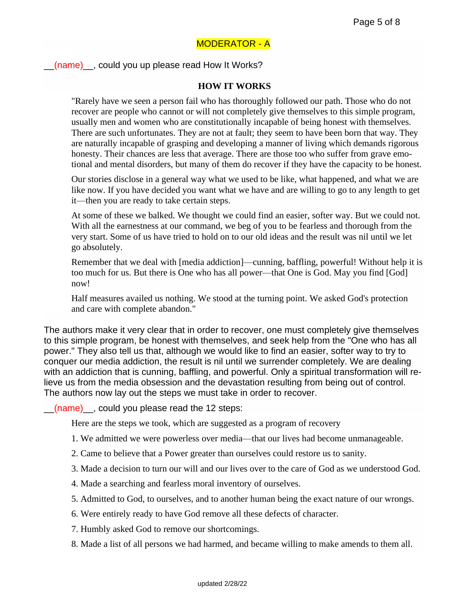## MODERATOR - A

\_\_(name)\_\_, could you up please read How It Works?

#### **HOW IT WORKS**

"Rarely have we seen a person fail who has thoroughly followed our path. Those who do not recover are people who cannot or will not completely give themselves to this simple program, usually men and women who are constitutionally incapable of being honest with themselves. There are such unfortunates. They are not at fault; they seem to have been born that way. They are naturally incapable of grasping and developing a manner of living which demands rigorous honesty. Their chances are less that average. There are those too who suffer from grave emotional and mental disorders, but many of them do recover if they have the capacity to be honest.

Our stories disclose in a general way what we used to be like, what happened, and what we are like now. If you have decided you want what we have and are willing to go to any length to get it—then you are ready to take certain steps.

At some of these we balked. We thought we could find an easier, softer way. But we could not. With all the earnestness at our command, we beg of you to be fearless and thorough from the very start. Some of us have tried to hold on to our old ideas and the result was nil until we let go absolutely.

Remember that we deal with [media addiction]—cunning, baffling, powerful! Without help it is too much for us. But there is One who has all power—that One is God. May you find [God] now!

Half measures availed us nothing. We stood at the turning point. We asked God's protection and care with complete abandon."

The authors make it very clear that in order to recover, one must completely give themselves to this simple program, be honest with themselves, and seek help from the "One who has all power." They also tell us that, although we would like to find an easier, softer way to try to conquer our media addiction, the result is nil until we surrender completely. We are dealing with an addiction that is cunning, baffling, and powerful. Only a spiritual transformation will relieve us from the media obsession and the devastation resulting from being out of control. The authors now lay out the steps we must take in order to recover.

(name) could you please read the 12 steps:

Here are the steps we took, which are suggested as a program of recovery

- 1. We admitted we were powerless over media—that our lives had become unmanageable.
- 2. Came to believe that a Power greater than ourselves could restore us to sanity.
- 3. Made a decision to turn our will and our lives over to the care of God as we understood God.
- 4. Made a searching and fearless moral inventory of ourselves.
- 5. Admitted to God, to ourselves, and to another human being the exact nature of our wrongs.
- 6. Were entirely ready to have God remove all these defects of character.
- 7. Humbly asked God to remove our shortcomings.
- 8. Made a list of all persons we had harmed, and became willing to make amends to them all.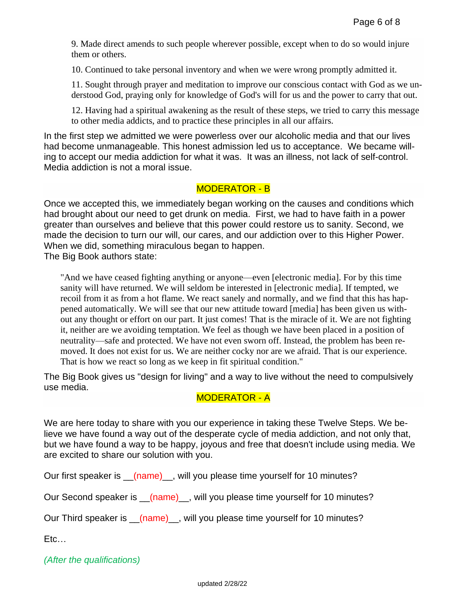9. Made direct amends to such people wherever possible, except when to do so would injure them or others.

10. Continued to take personal inventory and when we were wrong promptly admitted it.

11. Sought through prayer and meditation to improve our conscious contact with God as we understood God, praying only for knowledge of God's will for us and the power to carry that out.

12. Having had a spiritual awakening as the result of these steps, we tried to carry this message to other media addicts, and to practice these principles in all our affairs.

In the first step we admitted we were powerless over our alcoholic media and that our lives had become unmanageable. This honest admission led us to acceptance. We became willing to accept our media addiction for what it was. It was an illness, not lack of self-control. Media addiction is not a moral issue.

#### MODERATOR - B

Once we accepted this, we immediately began working on the causes and conditions which had brought about our need to get drunk on media. First, we had to have faith in a power greater than ourselves and believe that this power could restore us to sanity. Second, we made the decision to turn our will, our cares, and our addiction over to this Higher Power. When we did, something miraculous began to happen.

The Big Book authors state:

"And we have ceased fighting anything or anyone—even [electronic media]. For by this time sanity will have returned. We will seldom be interested in [electronic media]. If tempted, we recoil from it as from a hot flame. We react sanely and normally, and we find that this has happened automatically. We will see that our new attitude toward [media] has been given us without any thought or effort on our part. It just comes! That is the miracle of it. We are not fighting it, neither are we avoiding temptation. We feel as though we have been placed in a position of neutrality—safe and protected. We have not even sworn off. Instead, the problem has been removed. It does not exist for us. We are neither cocky nor are we afraid. That is our experience. That is how we react so long as we keep in fit spiritual condition."

The Big Book gives us "design for living" and a way to live without the need to compulsively use media.

### MODERATOR - A

We are here today to share with you our experience in taking these Twelve Steps. We believe we have found a way out of the desperate cycle of media addiction, and not only that, but we have found a way to be happy, joyous and free that doesn't include using media. We are excited to share our solution with you.

Our first speaker is \_\_(name)\_, will you please time yourself for 10 minutes?

Our Second speaker is \_\_(name)\_, will you please time yourself for 10 minutes?

Our Third speaker is \_\_(name)\_, will you please time yourself for 10 minutes?

Etc…

*(After the qualifications)*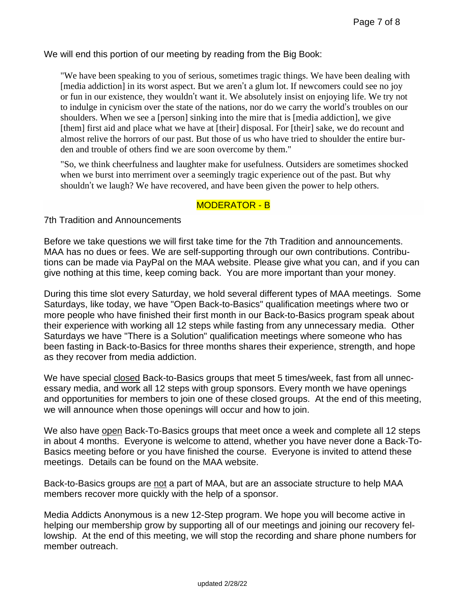We will end this portion of our meeting by reading from the Big Book:

"We have been speaking to you of serious, sometimes tragic things. We have been dealing with [media addiction] in its worst aspect. But we aren't a glum lot. If newcomers could see no joy or fun in our existence, they wouldn't want it. We absolutely insist on enjoying life. We try not to indulge in cynicism over the state of the nations, nor do we carry the world's troubles on our shoulders. When we see a [person] sinking into the mire that is [media addiction], we give [them] first aid and place what we have at [their] disposal. For [their] sake, we do recount and almost relive the horrors of our past. But those of us who have tried to shoulder the entire burden and trouble of others find we are soon overcome by them."

"So, we think cheerfulness and laughter make for usefulness. Outsiders are sometimes shocked when we burst into merriment over a seemingly tragic experience out of the past. But why shouldn't we laugh? We have recovered, and have been given the power to help others.

### MODERATOR - B

7th Tradition and Announcements

Before we take questions we will first take time for the 7th Tradition and announcements. MAA has no dues or fees. We are self-supporting through our own contributions. Contributions can be made via PayPal on the MAA website. Please give what you can, and if you can give nothing at this time, keep coming back. You are more important than your money.

During this time slot every Saturday, we hold several different types of MAA meetings. Some Saturdays, like today, we have "Open Back-to-Basics" qualification meetings where two or more people who have finished their first month in our Back-to-Basics program speak about their experience with working all 12 steps while fasting from any unnecessary media. Other Saturdays we have "There is a Solution" qualification meetings where someone who has been fasting in Back-to-Basics for three months shares their experience, strength, and hope as they recover from media addiction.

We have special closed Back-to-Basics groups that meet 5 times/week, fast from all unnecessary media, and work all 12 steps with group sponsors. Every month we have openings and opportunities for members to join one of these closed groups. At the end of this meeting, we will announce when those openings will occur and how to join.

We also have open Back-To-Basics groups that meet once a week and complete all 12 steps in about 4 months. Everyone is welcome to attend, whether you have never done a Back-To-Basics meeting before or you have finished the course. Everyone is invited to attend these meetings. Details can be found on the MAA website.

Back-to-Basics groups are not a part of MAA, but are an associate structure to help MAA members recover more quickly with the help of a sponsor.

Media Addicts Anonymous is a new 12-Step program. We hope you will become active in helping our membership grow by supporting all of our meetings and joining our recovery fellowship. At the end of this meeting, we will stop the recording and share phone numbers for member outreach.